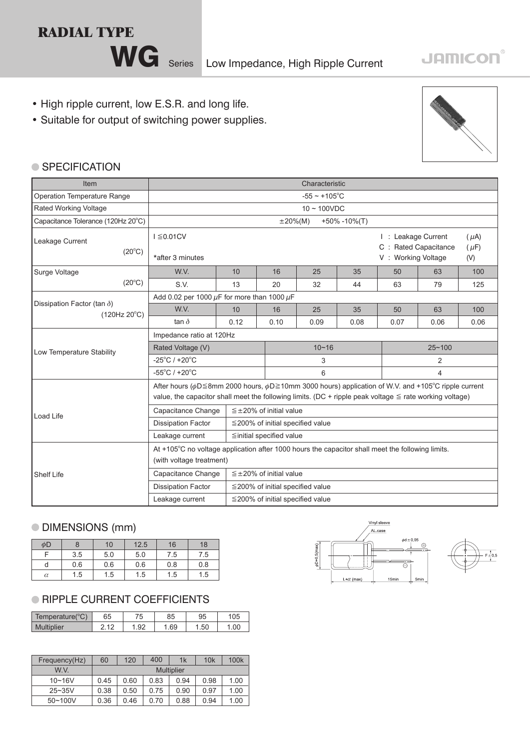

WG Series Low Impedance, High Ripple Current

## **JAMICON®**

- High ripple current, low E.S.R. and long life.
- Suitable for output of switching power supplies.



## ● SPECIFICATION

| Item                                                        | Characteristic                                                                                                                                                                                                                         |                                                        |                                        |      |      |                |                                                                                                    |      |
|-------------------------------------------------------------|----------------------------------------------------------------------------------------------------------------------------------------------------------------------------------------------------------------------------------------|--------------------------------------------------------|----------------------------------------|------|------|----------------|----------------------------------------------------------------------------------------------------|------|
| Operation Temperature Range                                 |                                                                                                                                                                                                                                        | $-55 \sim +105$ °C                                     |                                        |      |      |                |                                                                                                    |      |
| Rated Working Voltage                                       |                                                                                                                                                                                                                                        | $10 \sim 100$ VDC                                      |                                        |      |      |                |                                                                                                    |      |
| Capacitance Tolerance (120Hz 20°C)                          |                                                                                                                                                                                                                                        | $+50\% -10\%$ (T)<br>$\pm 20\%$ (M)                    |                                        |      |      |                |                                                                                                    |      |
| Leakage Current<br>$(20^{\circ}C)$                          | $I \leq 0.01CV$<br>*after 3 minutes                                                                                                                                                                                                    |                                                        |                                        |      |      |                | I: Leakage Current<br>$(\mu A)$<br>C : Rated Capacitance<br>$(\mu F)$<br>V: Working Voltage<br>(V) |      |
| Surge Voltage                                               | W.V.                                                                                                                                                                                                                                   | 10                                                     | 16                                     | 25   | 35   | 50             | 63                                                                                                 | 100  |
| $(20^{\circ}C)$                                             | S.V.                                                                                                                                                                                                                                   | 13                                                     | 20                                     | 32   | 44   | 63             | 79                                                                                                 | 125  |
|                                                             | Add 0.02 per 1000 $\mu$ F for more than 1000 $\mu$ F                                                                                                                                                                                   |                                                        |                                        |      |      |                |                                                                                                    |      |
| Dissipation Factor (tan $\delta$ )<br>$(120Hz 20^{\circ}C)$ | W.V.                                                                                                                                                                                                                                   | 10                                                     | 16                                     | 25   | 35   | 50             | 63                                                                                                 | 100  |
|                                                             | tan $\delta$                                                                                                                                                                                                                           | 0.12                                                   | 0.10                                   | 0.09 | 0.08 | 0.07           | 0.06                                                                                               | 0.06 |
|                                                             | Impedance ratio at 120Hz                                                                                                                                                                                                               |                                                        |                                        |      |      |                |                                                                                                    |      |
| Low Temperature Stability                                   | Rated Voltage (V)                                                                                                                                                                                                                      |                                                        | $10 - 16$                              |      |      | $25 - 100$     |                                                                                                    |      |
|                                                             | $-25^{\circ}$ C / +20 $^{\circ}$ C                                                                                                                                                                                                     |                                                        | 3                                      |      |      | $\overline{2}$ |                                                                                                    |      |
|                                                             | $-55^{\circ}$ C / +20 $^{\circ}$ C                                                                                                                                                                                                     |                                                        | 6                                      |      |      | $\overline{4}$ |                                                                                                    |      |
|                                                             | After hours ( $\phi$ D 	re 8mm 2000 hours, $\phi$ D 	re 10mm 3000 hours) application of W.V. and +105°C ripple current<br>value, the capacitor shall meet the following limits. (DC + ripple peak voltage $\leq$ rate working voltage) |                                                        |                                        |      |      |                |                                                                                                    |      |
| <b>Load Life</b>                                            |                                                                                                                                                                                                                                        | Capacitance Change<br>$\leq \pm 20\%$ of initial value |                                        |      |      |                |                                                                                                    |      |
|                                                             | <b>Dissipation Factor</b>                                                                                                                                                                                                              |                                                        | $\leq$ 200% of initial specified value |      |      |                |                                                                                                    |      |
|                                                             | Leakage current                                                                                                                                                                                                                        |                                                        | ≦initial specified value               |      |      |                |                                                                                                    |      |
|                                                             | At +105°C no voltage application after 1000 hours the capacitor shall meet the following limits.<br>(with voltage treatment)                                                                                                           |                                                        |                                        |      |      |                |                                                                                                    |      |
| <b>Shelf Life</b>                                           | Capacitance Change                                                                                                                                                                                                                     |                                                        | $\leq \pm 20\%$ of initial value       |      |      |                |                                                                                                    |      |
|                                                             | <b>Dissipation Factor</b>                                                                                                                                                                                                              |                                                        | $\leq$ 200% of initial specified value |      |      |                |                                                                                                    |      |
|                                                             | $\leq$ 200% of initial specified value<br>Leakage current                                                                                                                                                                              |                                                        |                                        |      |      |                |                                                                                                    |      |

## DIMENSIONS (mm)

| φD       |     | 10  | 12.5 | 16  | 18  |
|----------|-----|-----|------|-----|-----|
|          | 3.5 | 5.0 | 5.0  | 7.5 | 7.5 |
|          | 0.6 | 0.6 | 0.6  | 0.8 | 0.8 |
| $\alpha$ | 1.5 | 1.5 | 1.5  | 1.5 | 1.5 |

## **RIPPLE CURRENT COEFFICIENTS**

| $10^{\circ}$<br>Temperature('<br>U. | 65         | 75<br>ں ، | 85  | 95  | 105 |
|-------------------------------------|------------|-----------|-----|-----|-----|
| <b>Multiplier</b>                   | $\sqrt{2}$ | . .92     | .69 | .50 | .00 |

| Frequency(Hz) | 60                | 120  | 400  | 1k   | 10k  | 100 <sub>k</sub> |
|---------------|-------------------|------|------|------|------|------------------|
| W.V.          | <b>Multiplier</b> |      |      |      |      |                  |
| $10 - 16V$    | 0.45              | 0.60 | 0.83 | 0.94 | 0.98 | 1.00             |
| $25 - 35V$    | 0.38              | 0.50 | 0.75 | 0.90 | 0.97 | 1.00             |
| $50 - 100V$   | 0.36              | 0.46 | 0.70 | 0.88 | 0.94 | 1.00             |